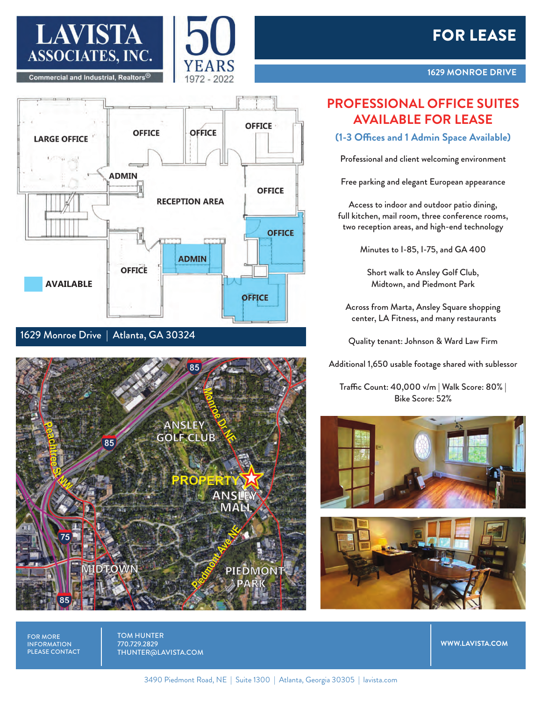





1629 Monroe Drive | Atlanta, GA 30324



## **PROFESSIONAL OFFICE SUITES AVAILABLE FOR LEASE**

## **(1-3 Offices and 1 Admin Space Available)**

Professional and client welcoming environment

Free parking and elegant European appearance

Access to indoor and outdoor patio dining, full kitchen, mail room, three conference rooms, two reception areas, and high-end technology

Minutes to I-85, I-75, and GA 400

Short walk to Ansley Golf Club, Midtown, and Piedmont Park

Across from Marta, Ansley Square shopping center, LA Fitness, and many restaurants

Quality tenant: Johnson & Ward Law Firm

Additional 1,650 usable footage shared with sublessor

Traffic Count: 40,000 v/m | Walk Score: 80% | Bike Score: 52%





FOR MORE **INFORMATION** PLEASE CONTACT TOM HUNTER 770.729.2829 THUNTER@LAVISTA.COM

3490 Piedmont Road, NE | Suite 1300 | Atlanta, Georgia 30305 | lavista.com

**WWW.LAVISTA.COM**